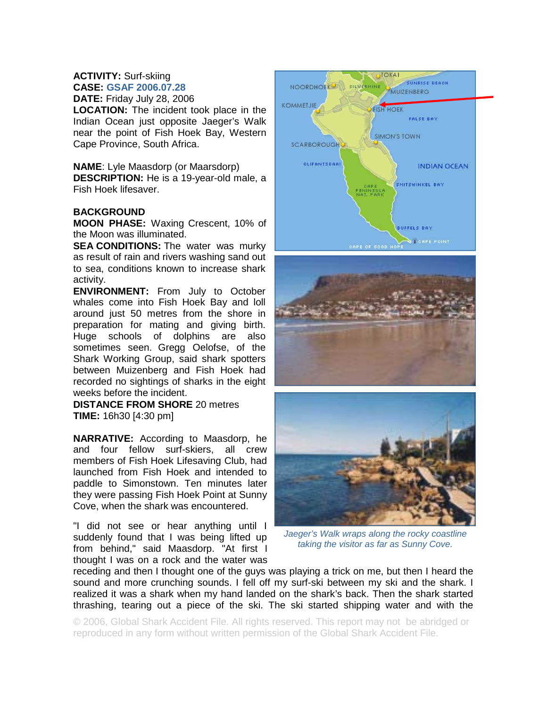## **ACTIVITY:** Surf-skiing **CASE: GSAF 2006.07.28**

**DATE:** Friday July 28, 2006 **LOCATION:** The incident took place in the Indian Ocean just opposite Jaeger's Walk near the point of Fish Hoek Bay, Western Cape Province, South Africa.

**NAME**: Lyle Maasdorp (or Maarsdorp) **DESCRIPTION:** He is a 19-year-old male, a Fish Hoek lifesaver.

## **BACKGROUND**

**MOON PHASE:** Waxing Crescent, 10% of the Moon was illuminated.

**SEA CONDITIONS:** The water was murky as result of rain and rivers washing sand out to sea, conditions known to increase shark activity.

**ENVIRONMENT:** From July to October whales come into Fish Hoek Bay and loll around just 50 metres from the shore in preparation for mating and giving birth. Huge schools of dolphins are also sometimes seen. Gregg Oelofse, of the Shark Working Group, said shark spotters between Muizenberg and Fish Hoek had recorded no sightings of sharks in the eight weeks before the incident.

**DISTANCE FROM SHORE** 20 metres **TIME:** 16h30 [4:30 pm]

**NARRATIVE:** According to Maasdorp, he and four fellow surf-skiers, all crew members of Fish Hoek Lifesaving Club, had launched from Fish Hoek and intended to paddle to Simonstown. Ten minutes later they were passing Fish Hoek Point at Sunny Cove, when the shark was encountered.

"I did not see or hear anything until I suddenly found that I was being lifted up from behind," said Maasdorp. "At first I thought I was on a rock and the water was







*Jaeger's Walk wraps along the rocky coastline taking the visitor as far as Sunny Cove.* 

receding and then I thought one of the guys was playing a trick on me, but then I heard the sound and more crunching sounds. I fell off my surf-ski between my ski and the shark. I realized it was a shark when my hand landed on the shark's back. Then the shark started thrashing, tearing out a piece of the ski. The ski started shipping water and with the

© 2006, Global Shark Accident File. All rights reserved. This report may not be abridged or reproduced in any form without written permission of the Global Shark Accident File.